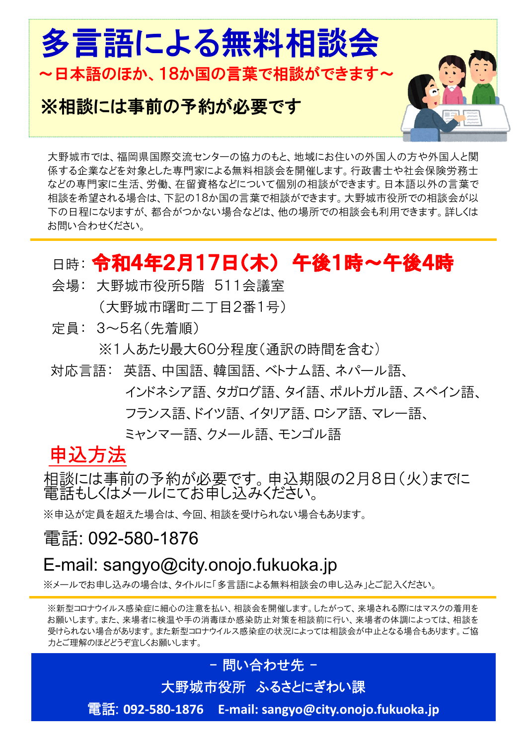

#### ※相談には事前の予約が必要です



大野城市では、福岡県国際交流センターの協力のもと、地域にお住いの外国人の方や外国人と関 係する企業などを対象とした専門家による無料相談会を開催します。行政書士や社会保険労務士 などの専門家に生活、労働、在留資格などについて個別の相談ができます。日本語以外の言葉で 相談を希望される場合は、下記の18か国の言葉で相談ができます。大野城市役所での相談会が以 下の日程になりますが、都合がつかない場合などは、他の場所での相談会も利用できます。詳しくは お問い合わせください。

## 日時: 令和4年2月17日(木) 午後1時~午後4時

- 会場: 大野城市役所5階 511会議室
	- (大野城市曙町二丁目2番1号)
- 定員: 3~5名(先着順)

※1人あたり最大60分程度(通訳の時間を含む)

対応言語: 英語、中国語、韓国語、ベトナム語、ネパール語、

インドネシア語、タガログ語、タイ語、ポルトガル語、スペイン語、

フランス語、ドイツ語、イタリア語、ロシア語、マレー語、

ミャンマー語、クメール語、モンゴル語

申込方法

相談には事前の予約が必要です。申込期限の2月8日(火)までに 電話もしくはメールにてお申し込みください。

※申込が定員を超えた場合は、今回、相談を受けられない場合もあります。

電話: 092-580-1876

### E-mail: sangyo@city.onojo.fukuoka.jp

※メールでお申し込みの場合は、タイトルに「多言語による無料相談会の申し込み」とご記入ください。

※新型コロナウイルス感染症に細心の注意を払い、相談会を開催します。したがって、来場される際にはマスクの着用を お願いします。また、来場者に検温や手の消毒ほか感染防止対策を相談前に行い、来場者の体調によっては、相談を 受けられない場合があります。また新型コロナウイルス感染症の状況によっては相談会が中止となる場合もあります。ご協 力とご理解のほどどうぞ宜しくお願いします。

### 大野城市役所 ふるさとにぎわい課

- 問い合わせ先 -

電話: **092-580-1876 E-mail: sangyo@city.onojo.fukuoka.jp**